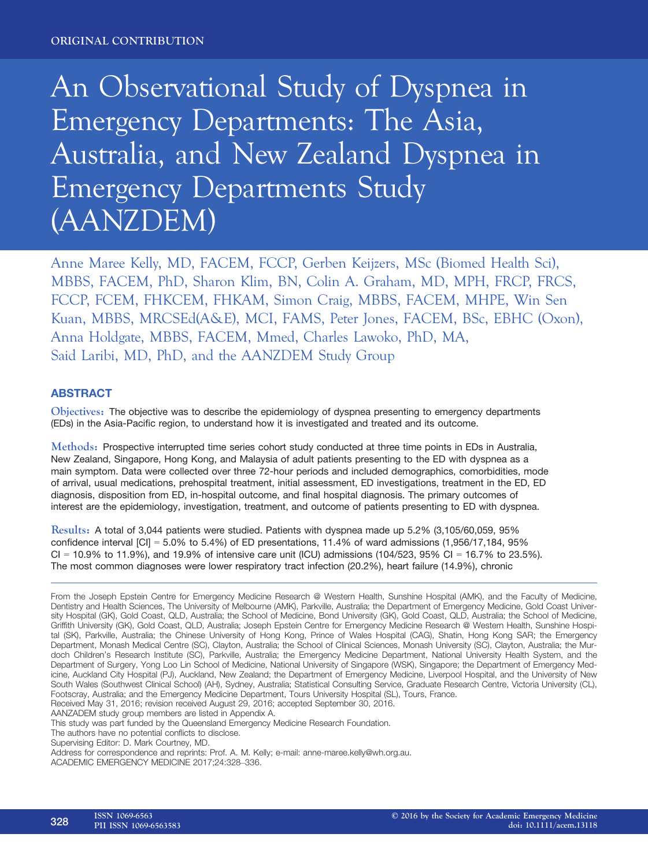# An Observational Study of Dyspnea in Emergency Departments: The Asia, Australia, and New Zealand Dyspnea in Emergency Departments Study (AANZDEM)

Anne Maree Kelly, MD, FACEM, FCCP, Gerben Keijzers, MSc (Biomed Health Sci), MBBS, FACEM, PhD, Sharon Klim, BN, Colin A. Graham, MD, MPH, FRCP, FRCS, FCCP, FCEM, FHKCEM, FHKAM, Simon Craig, MBBS, FACEM, MHPE, Win Sen Kuan, MBBS, MRCSEd(A&E), MCI, FAMS, Peter Jones, FACEM, BSc, EBHC (Oxon), Anna Holdgate, MBBS, FACEM, Mmed, Charles Lawoko, PhD, MA, Said Laribi, MD, PhD, and the AANZDEM Study Group

# ABSTRACT

Objectives: The objective was to describe the epidemiology of dyspnea presenting to emergency departments (EDs) in the Asia-Pacific region, to understand how it is investigated and treated and its outcome.

Methods: Prospective interrupted time series cohort study conducted at three time points in EDs in Australia, New Zealand, Singapore, Hong Kong, and Malaysia of adult patients presenting to the ED with dyspnea as a main symptom. Data were collected over three 72-hour periods and included demographics, comorbidities, mode of arrival, usual medications, prehospital treatment, initial assessment, ED investigations, treatment in the ED, ED diagnosis, disposition from ED, in-hospital outcome, and final hospital diagnosis. The primary outcomes of interest are the epidemiology, investigation, treatment, and outcome of patients presenting to ED with dyspnea.

Results: A total of 3,044 patients were studied. Patients with dyspnea made up 5.2% (3,105/60,059, 95% confidence interval  $\text{[CI]} = 5.0\%$  to 5.4%) of ED presentations, 11.4% of ward admissions (1,956/17,184, 95%  $Cl = 10.9\%$  to 11.9%), and 19.9% of intensive care unit (ICU) admissions (104/523, 95% CI = 16.7% to 23.5%). The most common diagnoses were lower respiratory tract infection (20.2%), heart failure (14.9%), chronic

Received May 31, 2016; revision received August 29, 2016; accepted September 30, 2016.

AANZADEM study group members are listed in Appendix A.

The authors have no potential conflicts to disclose.

ACADEMIC EMERGENCY MEDICINE 2017;24:328–336.

From the Joseph Epstein Centre for Emergency Medicine Research @ Western Health, Sunshine Hospital (AMK), and the Faculty of Medicine, Dentistry and Health Sciences, The University of Melbourne (AMK), Parkville, Australia; the Department of Emergency Medicine, Gold Coast University Hospital (GK), Gold Coast, QLD, Australia; the School of Medicine, Bond University (GK), Gold Coast, QLD, Australia; the School of Medicine, Griffith University (GK), Gold Coast, QLD, Australia; Joseph Epstein Centre for Emergency Medicine Research @ Western Health, Sunshine Hospital (SK), Parkville, Australia; the Chinese University of Hong Kong, Prince of Wales Hospital (CAG), Shatin, Hong Kong SAR; the Emergency Department, Monash Medical Centre (SC), Clayton, Australia; the School of Clinical Sciences, Monash University (SC), Clayton, Australia; the Murdoch Children's Research Institute (SC), Parkville, Australia; the Emergency Medicine Department, National University Health System, and the Department of Surgery, Yong Loo Lin School of Medicine, National University of Singapore (WSK), Singapore; the Department of Emergency Medicine, Auckland City Hospital (PJ), Auckland, New Zealand; the Department of Emergency Medicine, Liverpool Hospital, and the University of New South Wales (Southwest Clinical School) (AH), Sydney, Australia; Statistical Consulting Service, Graduate Research Centre, Victoria University (CL), Footscray, Australia; and the Emergency Medicine Department, Tours University Hospital (SL), Tours, France.

This study was part funded by the Queensland Emergency Medicine Research Foundation.

Supervising Editor: D. Mark Courtney, MD.

Address for correspondence and reprints: Prof. A. M. Kelly; e-mail: anne-maree.kelly@wh.org.au.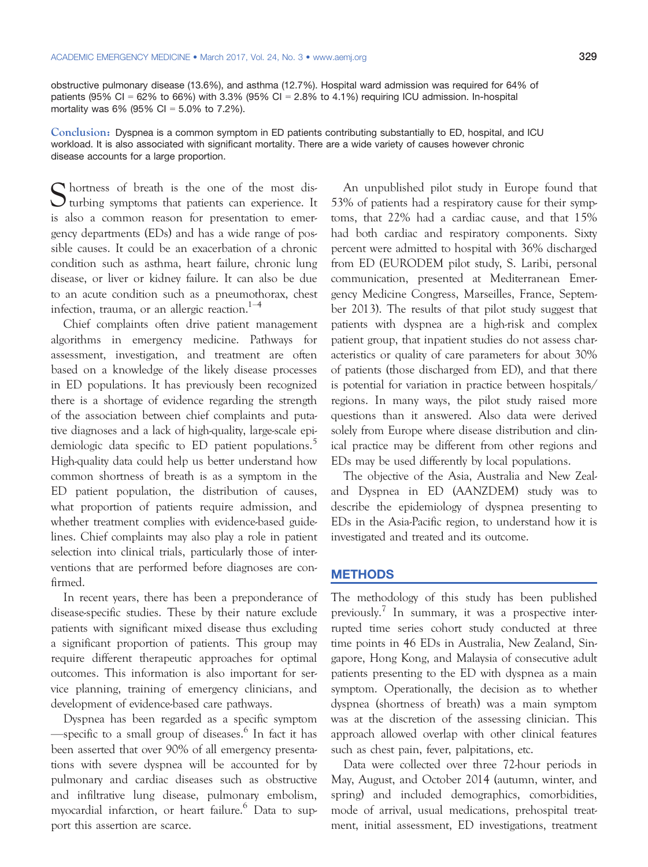obstructive pulmonary disease (13.6%), and asthma (12.7%). Hospital ward admission was required for 64% of patients (95% CI = 62% to 66%) with 3.3% (95% CI = 2.8% to 4.1%) requiring ICU admission. In-hospital mortality was  $6\%$  (95% CI = 5.0% to 7.2%).

Conclusion: Dyspnea is a common symptom in ED patients contributing substantially to ED, hospital, and ICU workload. It is also associated with significant mortality. There are a wide variety of causes however chronic disease accounts for a large proportion.

S hortness of breath is the one of the most disturbing symptoms that patients can experience. It is also a common reason for presentation to emergency departments (EDs) and has a wide range of possible causes. It could be an exacerbation of a chronic condition such as asthma, heart failure, chronic lung disease, or liver or kidney failure. It can also be due to an acute condition such as a pneumothorax, chest infection, trauma, or an allergic reaction.<sup>1–4</sup>

Chief complaints often drive patient management algorithms in emergency medicine. Pathways for assessment, investigation, and treatment are often based on a knowledge of the likely disease processes in ED populations. It has previously been recognized there is a shortage of evidence regarding the strength of the association between chief complaints and putative diagnoses and a lack of high-quality, large-scale epidemiologic data specific to ED patient populations.<sup>5</sup> High-quality data could help us better understand how common shortness of breath is as a symptom in the ED patient population, the distribution of causes, what proportion of patients require admission, and whether treatment complies with evidence-based guidelines. Chief complaints may also play a role in patient selection into clinical trials, particularly those of interventions that are performed before diagnoses are confirmed.

In recent years, there has been a preponderance of disease-specific studies. These by their nature exclude patients with significant mixed disease thus excluding a significant proportion of patients. This group may require different therapeutic approaches for optimal outcomes. This information is also important for service planning, training of emergency clinicians, and development of evidence-based care pathways.

Dyspnea has been regarded as a specific symptom —specific to a small group of diseases.<sup>6</sup> In fact it has been asserted that over 90% of all emergency presentations with severe dyspnea will be accounted for by pulmonary and cardiac diseases such as obstructive and infiltrative lung disease, pulmonary embolism, myocardial infarction, or heart failure.<sup>6</sup> Data to support this assertion are scarce.

An unpublished pilot study in Europe found that 53% of patients had a respiratory cause for their symptoms, that 22% had a cardiac cause, and that 15% had both cardiac and respiratory components. Sixty percent were admitted to hospital with 36% discharged from ED (EURODEM pilot study, S. Laribi, personal communication, presented at Mediterranean Emergency Medicine Congress, Marseilles, France, September 2013). The results of that pilot study suggest that patients with dyspnea are a high-risk and complex patient group, that inpatient studies do not assess characteristics or quality of care parameters for about 30% of patients (those discharged from ED), and that there is potential for variation in practice between hospitals/ regions. In many ways, the pilot study raised more questions than it answered. Also data were derived solely from Europe where disease distribution and clinical practice may be different from other regions and EDs may be used differently by local populations.

The objective of the Asia, Australia and New Zealand Dyspnea in ED (AANZDEM) study was to describe the epidemiology of dyspnea presenting to EDs in the Asia-Pacific region, to understand how it is investigated and treated and its outcome.

# **METHODS**

The methodology of this study has been published previously.<sup>7</sup> In summary, it was a prospective interrupted time series cohort study conducted at three time points in 46 EDs in Australia, New Zealand, Singapore, Hong Kong, and Malaysia of consecutive adult patients presenting to the ED with dyspnea as a main symptom. Operationally, the decision as to whether dyspnea (shortness of breath) was a main symptom was at the discretion of the assessing clinician. This approach allowed overlap with other clinical features such as chest pain, fever, palpitations, etc.

Data were collected over three 72-hour periods in May, August, and October 2014 (autumn, winter, and spring) and included demographics, comorbidities, mode of arrival, usual medications, prehospital treatment, initial assessment, ED investigations, treatment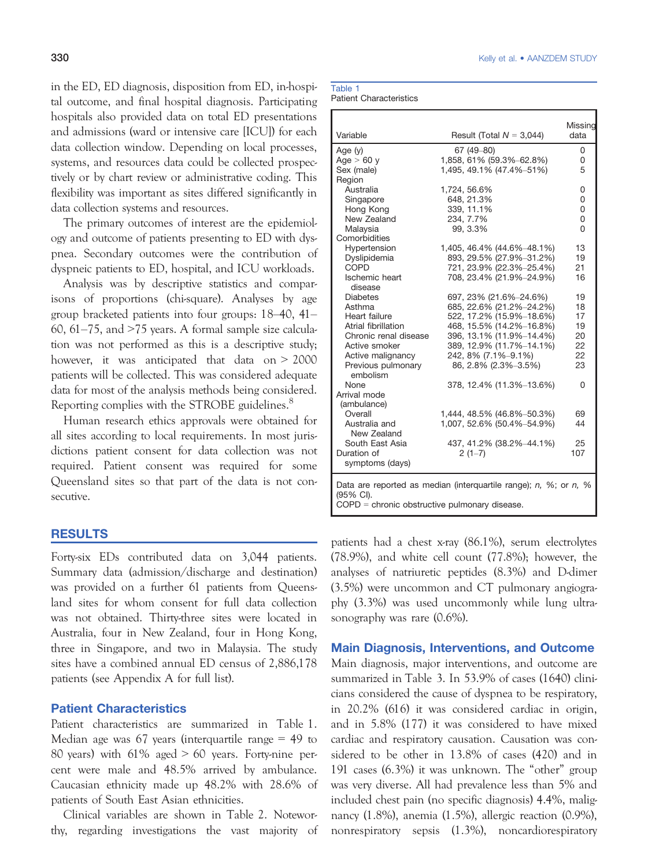in the ED, ED diagnosis, disposition from ED, in-hospital outcome, and final hospital diagnosis. Participating hospitals also provided data on total ED presentations and admissions (ward or intensive care [ICU]) for each data collection window. Depending on local processes, systems, and resources data could be collected prospectively or by chart review or administrative coding. This flexibility was important as sites differed significantly in data collection systems and resources.

The primary outcomes of interest are the epidemiology and outcome of patients presenting to ED with dyspnea. Secondary outcomes were the contribution of dyspneic patients to ED, hospital, and ICU workloads.

Analysis was by descriptive statistics and comparisons of proportions (chi-square). Analyses by age group bracketed patients into four groups: 18–40, 41– 60, 61–75, and >75 years. A formal sample size calculation was not performed as this is a descriptive study; however, it was anticipated that data on > 2000 patients will be collected. This was considered adequate data for most of the analysis methods being considered. Reporting complies with the STROBE guidelines.<sup>8</sup>

Human research ethics approvals were obtained for all sites according to local requirements. In most jurisdictions patient consent for data collection was not required. Patient consent was required for some Queensland sites so that part of the data is not consecutive.

# RESULTS

Forty-six EDs contributed data on 3,044 patients. Summary data (admission/discharge and destination) was provided on a further 61 patients from Queensland sites for whom consent for full data collection was not obtained. Thirty-three sites were located in Australia, four in New Zealand, four in Hong Kong, three in Singapore, and two in Malaysia. The study sites have a combined annual ED census of 2,886,178 patients (see Appendix A for full list).

# Patient Characteristics

Patient characteristics are summarized in Table 1. Median age was 67 years (interquartile range  $= 49$  to 80 years) with  $61\%$  aged  $> 60$  years. Forty-nine percent were male and 48.5% arrived by ambulance. Caucasian ethnicity made up 48.2% with 28.6% of patients of South East Asian ethnicities.

Clinical variables are shown in Table 2. Noteworthy, regarding investigations the vast majority of

| Table 1 |                                |
|---------|--------------------------------|
|         | <b>Patient Characteristics</b> |

| Variable                                                                      | Result (Total $N = 3,044$ ) | Missing<br>data |  |  |  |  |  |
|-------------------------------------------------------------------------------|-----------------------------|-----------------|--|--|--|--|--|
|                                                                               | 67 (49-80)                  |                 |  |  |  |  |  |
| Age (y)<br>Age $> 60$ y                                                       | 1,858, 61% (59.3%-62.8%)    | 0<br>0          |  |  |  |  |  |
| Sex (male)                                                                    | 1,495, 49.1% (47.4%-51%)    | 5               |  |  |  |  |  |
| Region                                                                        |                             |                 |  |  |  |  |  |
| Australia                                                                     | 1,724, 56.6%                | 0               |  |  |  |  |  |
| Singapore                                                                     | 648, 21.3%                  | 0               |  |  |  |  |  |
| Hong Kong                                                                     | 339, 11.1%                  | 0               |  |  |  |  |  |
| New Zealand                                                                   | 234, 7.7%                   | 0               |  |  |  |  |  |
| Malaysia                                                                      | 99, 3.3%                    | 0               |  |  |  |  |  |
| Comorbidities                                                                 |                             |                 |  |  |  |  |  |
| Hypertension                                                                  | 1,405, 46.4% (44.6%-48.1%)  | 13              |  |  |  |  |  |
| Dyslipidemia                                                                  | 893, 29.5% (27.9%-31.2%)    | 19              |  |  |  |  |  |
| <b>COPD</b>                                                                   | 721, 23.9% (22.3%-25.4%)    | 21              |  |  |  |  |  |
| <b>Ischemic heart</b>                                                         | 708, 23.4% (21.9%-24.9%)    | 16              |  |  |  |  |  |
| disease                                                                       |                             |                 |  |  |  |  |  |
| <b>Diabetes</b>                                                               | 697, 23% (21.6%-24.6%)      | 19              |  |  |  |  |  |
| Asthma                                                                        | 685, 22.6% (21.2%-24.2%)    | 18              |  |  |  |  |  |
| Heart failure                                                                 | 522, 17.2% (15.9%-18.6%)    | 17              |  |  |  |  |  |
| Atrial fibrillation                                                           | 468, 15.5% (14.2%-16.8%)    | 19              |  |  |  |  |  |
| Chronic renal disease                                                         | 396, 13.1% (11.9%-14.4%)    | 20              |  |  |  |  |  |
| Active smoker                                                                 | 389, 12.9% (11.7%-14.1%)    | 22              |  |  |  |  |  |
| Active malignancy                                                             | 242, 8% (7.1%-9.1%)         | 22              |  |  |  |  |  |
| Previous pulmonary                                                            | 86, 2.8% (2.3%-3.5%)        | 23              |  |  |  |  |  |
| embolism                                                                      |                             |                 |  |  |  |  |  |
| None                                                                          | 378, 12.4% (11.3%-13.6%)    | 0               |  |  |  |  |  |
| Arrival mode                                                                  |                             |                 |  |  |  |  |  |
| (ambulance)                                                                   |                             |                 |  |  |  |  |  |
| Overall                                                                       | 1,444, 48.5% (46.8%-50.3%)  | 69              |  |  |  |  |  |
| Australia and                                                                 | 1,007, 52.6% (50.4%-54.9%)  | 44              |  |  |  |  |  |
| New Zealand                                                                   |                             |                 |  |  |  |  |  |
| South East Asia                                                               | 437, 41.2% (38.2%-44.1%)    | 25              |  |  |  |  |  |
| Duration of                                                                   | $2(1-7)$                    | 107             |  |  |  |  |  |
| symptoms (days)                                                               |                             |                 |  |  |  |  |  |
|                                                                               |                             |                 |  |  |  |  |  |
| Data are reported as median (interquartile range); $n$ , $\%$ ; or $n$ , $\%$ |                             |                 |  |  |  |  |  |
| (95% CI).                                                                     |                             |                 |  |  |  |  |  |
| $COPD =$ chronic obstructive pulmonary disease.                               |                             |                 |  |  |  |  |  |

patients had a chest x-ray (86.1%), serum electrolytes (78.9%), and white cell count (77.8%); however, the analyses of natriuretic peptides (8.3%) and D-dimer (3.5%) were uncommon and CT pulmonary angiography (3.3%) was used uncommonly while lung ultrasonography was rare (0.6%).

# Main Diagnosis, Interventions, and Outcome

Main diagnosis, major interventions, and outcome are summarized in Table 3. In 53.9% of cases (1640) clinicians considered the cause of dyspnea to be respiratory, in 20.2% (616) it was considered cardiac in origin, and in 5.8% (177) it was considered to have mixed cardiac and respiratory causation. Causation was considered to be other in 13.8% of cases (420) and in 191 cases (6.3%) it was unknown. The "other" group was very diverse. All had prevalence less than 5% and included chest pain (no specific diagnosis) 4.4%, malignancy (1.8%), anemia (1.5%), allergic reaction (0.9%), nonrespiratory sepsis (1.3%), noncardiorespiratory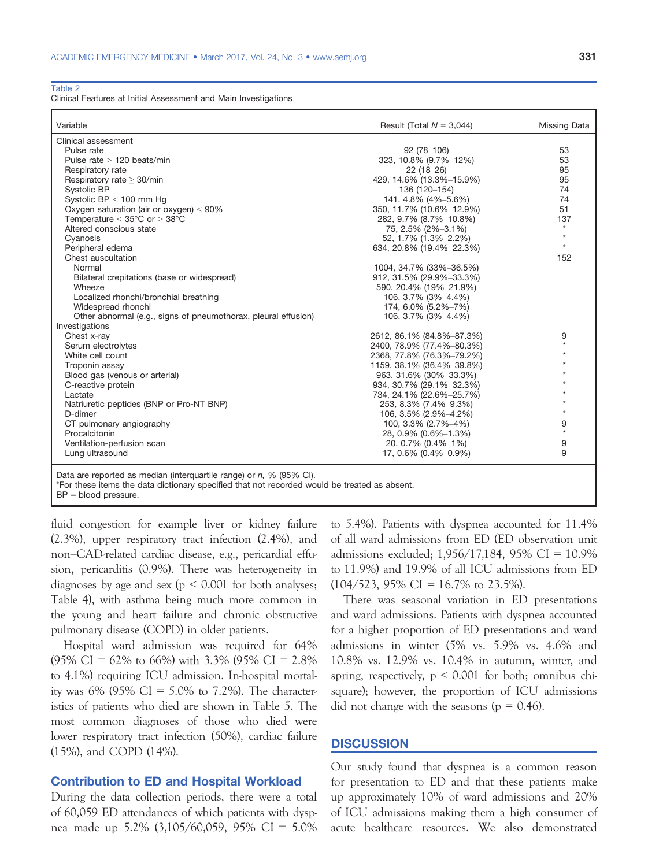Table 2

Clinical Features at Initial Assessment and Main Investigations

| Variable                                                                                                                                                                                                                                                      | Result (Total $N = 3,044$ ) | Missing Data |
|---------------------------------------------------------------------------------------------------------------------------------------------------------------------------------------------------------------------------------------------------------------|-----------------------------|--------------|
| Clinical assessment                                                                                                                                                                                                                                           |                             |              |
| Pulse rate                                                                                                                                                                                                                                                    | $92(78-106)$                | 53           |
| Pulse rate > 120 beats/min                                                                                                                                                                                                                                    | 323, 10.8% (9.7%-12%)       | 53           |
| Respiratory rate                                                                                                                                                                                                                                              | $22(18-26)$                 | 95           |
| Respiratory rate $\geq$ 30/min                                                                                                                                                                                                                                | 429, 14.6% (13.3%-15.9%)    | 95           |
| Systolic BP                                                                                                                                                                                                                                                   | 136 (120-154)               | 74           |
| Systolic BP < 100 mm Hg                                                                                                                                                                                                                                       | 141.4.8% (4%-5.6%)          | 74           |
| Oxygen saturation (air or oxygen) $< 90\%$                                                                                                                                                                                                                    | 350, 11.7% (10.6%-12.9%)    | 51           |
| Temperature $<$ 35 $\degree$ C or $>$ 38 $\degree$ C                                                                                                                                                                                                          | 282, 9.7% (8.7%-10.8%)      | 137          |
| Altered conscious state                                                                                                                                                                                                                                       | 75, 2.5% (2%-3.1%)          | $\star$      |
| Cyanosis                                                                                                                                                                                                                                                      | 52, 1.7% (1.3%-2.2%)        | $\star$      |
| Peripheral edema                                                                                                                                                                                                                                              | 634, 20.8% (19.4%-22.3%)    | $^\star$     |
| Chest auscultation                                                                                                                                                                                                                                            |                             | 152          |
| Normal                                                                                                                                                                                                                                                        | 1004, 34.7% (33%-36.5%)     |              |
| Bilateral crepitations (base or widespread)                                                                                                                                                                                                                   | 912, 31.5% (29.9%-33.3%)    |              |
| Wheeze                                                                                                                                                                                                                                                        | 590, 20.4% (19%-21.9%)      |              |
| Localized rhonchi/bronchial breathing                                                                                                                                                                                                                         | 106, 3.7% (3%-4.4%)         |              |
| Widespread rhonchi                                                                                                                                                                                                                                            | 174, 6.0% (5.2%-7%)         |              |
| Other abnormal (e.g., signs of pneumothorax, pleural effusion)                                                                                                                                                                                                | 106, 3.7% (3%-4.4%)         |              |
| Investigations                                                                                                                                                                                                                                                |                             |              |
| Chest x-ray                                                                                                                                                                                                                                                   | 2612, 86.1% (84.8%-87.3%)   | 9            |
| Serum electrolytes                                                                                                                                                                                                                                            | 2400, 78.9% (77.4%-80.3%)   | $^\star$     |
| White cell count                                                                                                                                                                                                                                              | 2368, 77.8% (76.3%-79.2%)   |              |
| Troponin assay                                                                                                                                                                                                                                                | 1159, 38.1% (36.4%-39.8%)   |              |
| Blood gas (venous or arterial)                                                                                                                                                                                                                                | 963, 31.6% (30%-33.3%)      |              |
| C-reactive protein                                                                                                                                                                                                                                            | 934, 30.7% (29.1%-32.3%)    |              |
| Lactate                                                                                                                                                                                                                                                       | 734, 24.1% (22.6%-25.7%)    |              |
| Natriuretic peptides (BNP or Pro-NT BNP)                                                                                                                                                                                                                      | 253, 8.3% (7.4%-9.3%)       |              |
| D-dimer                                                                                                                                                                                                                                                       | 106, 3.5% (2.9%-4.2%)       |              |
| CT pulmonary angiography                                                                                                                                                                                                                                      | 100, 3.3% (2.7%-4%)         | 9            |
| Procalcitonin                                                                                                                                                                                                                                                 | 28, 0.9% (0.6%-1.3%)        | $\star$      |
| Ventilation-perfusion scan                                                                                                                                                                                                                                    | 20, 0.7% (0.4%-1%)          | 9            |
| Lung ultrasound                                                                                                                                                                                                                                               | 17, 0.6% (0.4%-0.9%)        | 9            |
| $P_1$ . $P_2$ . $P_3$ . $P_4$ . $P_5$ . $P_6$ . $P_7$ . $P_8$ . $P_9$ . $P_9$ . $P_9$ . $P_9$ . $P_9$ . $P_9$ . $P_9$ . $P_9$ . $P_9$ . $P_9$ . $P_9$ . $P_9$ . $P_9$ . $P_9$ . $P_9$ . $P_9$ . $P_9$ . $P_9$ . $P_9$ . $P_9$ . $P_9$ . $P_9$ . $P_9$ . $P_9$ |                             |              |

Data are reported as median (interquartile range) or n, % (95% CI).

\*For these items the data dictionary specified that not recorded would be treated as absent.

BP = blood pressure.

fluid congestion for example liver or kidney failure (2.3%), upper respiratory tract infection (2.4%), and non–CAD-related cardiac disease, e.g., pericardial effusion, pericarditis (0.9%). There was heterogeneity in diagnoses by age and sex ( $p \leq 0.001$  for both analyses; Table 4), with asthma being much more common in the young and heart failure and chronic obstructive pulmonary disease (COPD) in older patients.

Hospital ward admission was required for 64%  $(95\% \text{ CI} = 62\% \text{ to } 66\%)$  with 3.3%  $(95\% \text{ CI} = 2.8\%)$ to 4.1%) requiring ICU admission. In-hospital mortality was 6% (95% CI = 5.0% to 7.2%). The characteristics of patients who died are shown in Table 5. The most common diagnoses of those who died were lower respiratory tract infection (50%), cardiac failure (15%), and COPD (14%).

# Contribution to ED and Hospital Workload

During the data collection periods, there were a total of 60,059 ED attendances of which patients with dyspnea made up 5.2% (3,105/60,059, 95% CI = 5.0% to 5.4%). Patients with dyspnea accounted for 11.4% of all ward admissions from ED (ED observation unit admissions excluded; 1,956/17,184, 95% CI = 10.9% to 11.9%) and 19.9% of all ICU admissions from ED  $(104/523, 95\% \text{ CI} = 16.7\% \text{ to } 23.5\%).$ 

There was seasonal variation in ED presentations and ward admissions. Patients with dyspnea accounted for a higher proportion of ED presentations and ward admissions in winter (5% vs. 5.9% vs. 4.6% and 10.8% vs. 12.9% vs. 10.4% in autumn, winter, and spring, respectively,  $p \le 0.001$  for both; omnibus chisquare); however, the proportion of ICU admissions did not change with the seasons ( $p = 0.46$ ).

# **DISCUSSION**

Our study found that dyspnea is a common reason for presentation to ED and that these patients make up approximately 10% of ward admissions and 20% of ICU admissions making them a high consumer of acute healthcare resources. We also demonstrated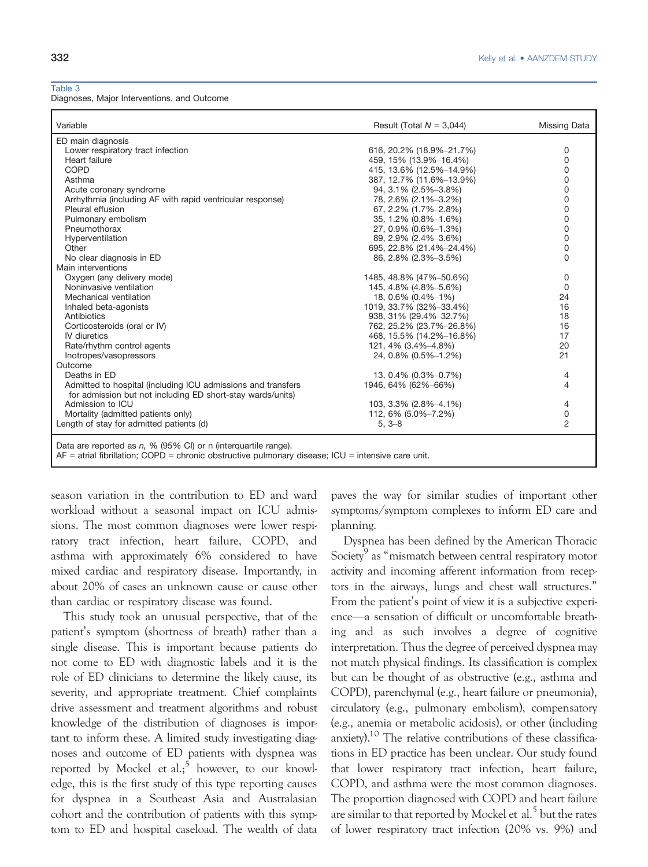Table 3

Diagnoses, Major Interventions, and Outcome

| Variable                                                                | Result (Total $N = 3,044$ )            | Missing Data   |
|-------------------------------------------------------------------------|----------------------------------------|----------------|
| ED main diagnosis                                                       |                                        |                |
| Lower respiratory tract infection                                       | 616, 20.2% (18.9%-21.7%)               | 0              |
| Heart failure                                                           | 459, 15% (13.9%-16.4%)                 | 0              |
| COPD                                                                    | 415, 13.6% (12.5%-14.9%)               | 0              |
| Asthma                                                                  | 387, 12.7% (11.6%-13.9%)               | 0              |
| Acute coronary syndrome                                                 | 94, 3.1% (2.5%-3.8%)                   | 0              |
| Arrhythmia (including AF with rapid ventricular response)               | 78, 2.6% (2.1%-3.2%)                   | 0              |
| Pleural effusion                                                        | 67, 2.2% (1.7%-2.8%)                   | 0              |
| Pulmonary embolism                                                      | 35, 1.2% (0.8%-1.6%)                   | 0              |
| Pneumothorax                                                            | 27, 0.9% (0.6%-1.3%)                   | 0              |
| Hyperventilation                                                        | 89, 2.9% (2.4%-3.6%)                   | 0              |
| Other                                                                   | 695, 22.8% (21.4%-24.4%)               | 0              |
| No clear diagnosis in ED                                                | 86, 2.8% (2.3%-3.5%)                   | 0              |
| Main interventions                                                      |                                        |                |
| Oxygen (any delivery mode)                                              | 1485, 48.8% (47%-50.6%)                | 0              |
| Noninvasive ventilation                                                 | 145, 4.8% (4.8%-5.6%)                  | 0              |
| Mechanical ventilation                                                  | 18, 0.6% (0.4%-1%)                     | 24             |
| Inhaled beta-agonists                                                   | 1019, 33.7% (32%-33.4%)                | 16             |
| Antibiotics                                                             | 938, 31% (29.4%-32.7%)                 | 18             |
| Corticosteroids (oral or IV)                                            | 762, 25.2% (23.7%-26.8%)               | 16             |
| <b>IV</b> diuretics                                                     | 468, 15.5% (14.2%-16.8%)               | 17             |
| Rate/rhythm control agents                                              | 121, 4% (3.4%–4.8%)                    | 20             |
| Inotropes/vasopressors                                                  | 24, 0.8% (0.5%-1.2%)                   | 21             |
| Outcome                                                                 |                                        |                |
| Deaths in ED                                                            | 13, 0.4% $(0.3\text{\%}-0.7\text{\%})$ | 4              |
| Admitted to hospital (including ICU admissions and transfers            | 1946, 64% (62%-66%)                    | 4              |
| for admission but not including ED short-stay wards/units)              |                                        |                |
| Admission to ICU                                                        | 103, 3.3% (2.8%-4.1%)                  | 4              |
| Mortality (admitted patients only)                                      | 112, 6% (5.0%-7.2%)                    | 0              |
| Length of stay for admitted patients (d)                                | $5, 3 - 8$                             | $\overline{2}$ |
|                                                                         |                                        |                |
| Data are reported as $p = 0$ . (QE $0$ . Cl) or p (interguartile rapes) |                                        |                |

Data are reported as n, % (95% CI) or n (interquartile range). AF = atrial fibrillation; COPD = chronic obstructive pulmonary disease; ICU = intensive care unit.

season variation in the contribution to ED and ward workload without a seasonal impact on ICU admissions. The most common diagnoses were lower respiratory tract infection, heart failure, COPD, and asthma with approximately 6% considered to have mixed cardiac and respiratory disease. Importantly, in about 20% of cases an unknown cause or cause other than cardiac or respiratory disease was found.

This study took an unusual perspective, that of the patient's symptom (shortness of breath) rather than a single disease. This is important because patients do not come to ED with diagnostic labels and it is the role of ED clinicians to determine the likely cause, its severity, and appropriate treatment. Chief complaints drive assessment and treatment algorithms and robust knowledge of the distribution of diagnoses is important to inform these. A limited study investigating diagnoses and outcome of ED patients with dyspnea was reported by Mockel et al.<sup>5</sup> however, to our knowledge, this is the first study of this type reporting causes for dyspnea in a Southeast Asia and Australasian cohort and the contribution of patients with this symptom to ED and hospital caseload. The wealth of data paves the way for similar studies of important other symptoms/symptom complexes to inform ED care and planning.

Dyspnea has been defined by the American Thoracic Society<sup>9</sup> as "mismatch between central respiratory motor activity and incoming afferent information from receptors in the airways, lungs and chest wall structures." From the patient's point of view it is a subjective experience—a sensation of difficult or uncomfortable breathing and as such involves a degree of cognitive interpretation. Thus the degree of perceived dyspnea may not match physical findings. Its classification is complex but can be thought of as obstructive (e.g., asthma and COPD), parenchymal (e.g., heart failure or pneumonia), circulatory (e.g., pulmonary embolism), compensatory (e.g., anemia or metabolic acidosis), or other (including anxiety).10 The relative contributions of these classifications in ED practice has been unclear. Our study found that lower respiratory tract infection, heart failure, COPD, and asthma were the most common diagnoses. The proportion diagnosed with COPD and heart failure are similar to that reported by Mockel et al.<sup>5</sup> but the rates of lower respiratory tract infection (20% vs. 9%) and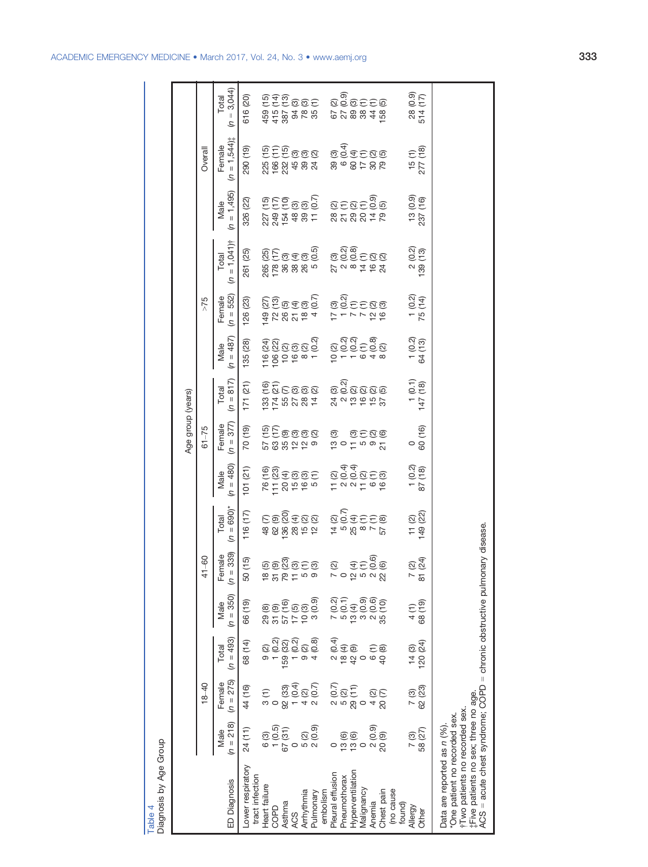|                                   |                   |                 | $(n = 3,044)$<br>Total                 | 616 (20)                             | $459$ (15)<br>$415$ (13)<br>$387$ (13)<br>$387$ (13)<br>$78$ (10)<br>$78$ (10)                                                                                          |         |            |                                     |                 |                                     | ු බි<br>මු වි පි පි ම<br>678848                                                             |                  |            |                     |                         |                   | 0.60<br>28<br>514                                       |                                                                                                                                                                                                                     |
|-----------------------------------|-------------------|-----------------|----------------------------------------|--------------------------------------|-------------------------------------------------------------------------------------------------------------------------------------------------------------------------|---------|------------|-------------------------------------|-----------------|-------------------------------------|---------------------------------------------------------------------------------------------|------------------|------------|---------------------|-------------------------|-------------------|---------------------------------------------------------|---------------------------------------------------------------------------------------------------------------------------------------------------------------------------------------------------------------------|
|                                   |                   | Overall         | $(n = 1,544)$<br>Female                | 290 (19)                             | n<br>EEE®®®<br>2002031<br>2003021                                                                                                                                       |         |            |                                     |                 |                                     | ESEESE<br>COSEESE<br>808488                                                                 |                  |            |                     |                         |                   | $\widehat{\Xi}$<br>$15$<br>277                          |                                                                                                                                                                                                                     |
|                                   |                   |                 | $= 1,495$<br>Male<br>$\epsilon$        | 326 (22)                             | crecce<br>Crecce<br>234548512                                                                                                                                           |         |            |                                     |                 |                                     | ତ୍ମ କୁ<br>ଅ <u>ଚି</u> ତ୍ର ଦ<br>858878                                                       |                  |            |                     |                         |                   | 0.9)<br>CO<br>$\frac{13}{237}$                          |                                                                                                                                                                                                                     |
|                                   |                   |                 | $= 1,041$ )†<br>Total<br>S             | (25)<br>261                          | greage<br>Meang<br>$265 - 6000$                                                                                                                                         |         |            |                                     |                 |                                     | ୁନ୍ଦି<br>ପିତ୍ତି ଅଷ୍<br>228462                                                               |                  |            |                     |                         |                   | (0.2)<br>$\begin{array}{c} 2 \\ 139 \end{array}$        |                                                                                                                                                                                                                     |
|                                   |                   | 52 <sub>5</sub> | $(n = 552)$<br>Female                  | 126(23)                              | <i>or</i> egge<br>Kurdeg<br>$\frac{1}{6}$ $\frac{1}{6}$ $\frac{1}{6}$ $\frac{1}{6}$ $\frac{1}{6}$ $\frac{1}{6}$ $\frac{1}{6}$ $\frac{1}{6}$ $\frac{1}{6}$ $\frac{1}{6}$ |         |            |                                     |                 |                                     | ତ୍ର<br>ଜୁବ୍ <u>ଚ</u> ିତ୍ର ଭ<br>$2 - 7 - 9$                                                  |                  |            |                     |                         |                   | $\begin{pmatrix} 0 & 4 \\ 0 & 4 \end{pmatrix}$<br>$-75$ |                                                                                                                                                                                                                     |
|                                   |                   |                 | $(n = 487)$<br>Male                    | 135 (28)                             | ସ୍ଥି ଅକ୍ତ ସ୍ଥି<br><u>ସ</u> ୁଥି ଅକ୍ତ ସ୍ଥି<br>100000000                                                                                                                   |         |            |                                     |                 |                                     | ୍ୟୁ<br>ଅଚ୍ଚ୍ଚ୍ଚ୍ୟ<br>$\frac{1}{2}$ – $\frac{1}{2}$ – $\frac{1}{2}$ – $\frac{1}{2}$          |                  |            |                     |                         |                   | <u>ପ୍</u> ର<br>ଓ ଅ<br>$-4$                              |                                                                                                                                                                                                                     |
|                                   |                   |                 | Total<br>$(n = 817)$                   | 171(21)                              | 133 (16)<br>174 (21)<br>55 (7)<br>27 (3)<br>28 (2)                                                                                                                      |         |            |                                     |                 |                                     | ୍ <sub>ପ</sub><br>ତିର୍ପି ପ୍ରୀତ<br>2219657                                                   |                  |            |                     |                         |                   | $\begin{array}{c} 1 (0.1) \\ 1 47 (18) \end{array}$     |                                                                                                                                                                                                                     |
|                                   | Age group (years) | $61 - 75$       | Female<br>$(n = 377)$                  | 70 (19)                              | er<br>Coooo<br>588229                                                                                                                                                   |         |            |                                     |                 | ඕ                                   | $\ddot{a}$ o $\ddot{c}$ to $\ddot{a}$ $\frac{1}{2}$                                         |                  |            | 0.500               |                         |                   | 00(16)                                                  |                                                                                                                                                                                                                     |
|                                   |                   |                 | $(n = 480)$<br>Male                    | 101(21)                              | Egesee<br>758999                                                                                                                                                        |         |            |                                     |                 |                                     | ୍କ୍କ<br>ଡିବ୍ରିପ୍ର<br>$T \cap \neg T \cap \neg D$                                            |                  |            |                     |                         |                   | 0.200<br>$\frac{1}{8}$                                  |                                                                                                                                                                                                                     |
|                                   |                   |                 | $(n = 690)^*$<br>Total                 | 116(17)                              | esgess<br>\$888622                                                                                                                                                      |         |            |                                     |                 |                                     | ତ<br>ଅବ୍ୟା£କ୍ଷ<br>4.588875                                                                  |                  |            |                     |                         |                   | <u>ଉ</u> ଥି<br>149                                      |                                                                                                                                                                                                                     |
|                                   |                   | $41 - 60$       | Female<br>$(n = 339)$<br>$\mathcal{Z}$ | (15)<br>ပ                            | <u>වෙහුවෙන</u><br>$\frac{8}{5}$ $\frac{1}{2}$ $\frac{6}{5}$ $\frac{1}{2}$ $\frac{1}{2}$ $\frac{1}{2}$ $\frac{1}{2}$ $\frac{1}{2}$                                       |         |            |                                     |                 | $\widehat{\boxtimes}$               | $\overline{N} \circ \underset{\tau}{\alpha} \circ \alpha \otimes \underset{\alpha}{\alpha}$ |                  |            | EES®                |                         |                   | <u>ପ୍ର</u><br>$\sim$ $-$<br>$\infty$                    |                                                                                                                                                                                                                     |
|                                   |                   |                 | $(n = 350)$<br>Male                    | 66 (19)                              | 8 (8 )<br>8 3 5 5 6 9<br>8 5 5 7 9 8                                                                                                                                    |         |            |                                     | (0.9)<br>က      | $\left( 0.2\right)$                 | $\frac{5(0.1)}{13(4)}$                                                                      |                  | 3(0.9)     | $2(0.6)$<br>35 (10) |                         |                   | $(61)$<br>$(1)$<br>$(1)$                                |                                                                                                                                                                                                                     |
|                                   |                   |                 | $(n = 493)$<br>Total                   | 68 (14)                              | $\begin{array}{c} 9 \\ 9 \\ 159 \\ 159 \\ 9 \\ -159 \\ 162 \\ \hline \end{array}$                                                                                       |         |            |                                     | (0.8)<br>4      | $2(0.4)$<br>$18(4)$<br>$42(9)$<br>0 |                                                                                             |                  |            | Ξ<br>$\circ$        | 40 (8)                  |                   | $14(3)$<br>$120(24)$                                    |                                                                                                                                                                                                                     |
|                                   |                   | $18 - 40$       | $(n = 275)$<br>Female                  | 44 (16)                              | $\widehat{\tau}$<br>$\circ$                                                                                                                                             | 92 (33) | 1(0.4)     | $\widehat{\infty}$<br>$\frac{4}{1}$ | (0.7)<br>$\sim$ | (0.7)                               |                                                                                             | 29 (11)          | $\circ$    | ତ୍ର<br>4            | 20 <sub>(7)</sub>       |                   | 7 (3)<br>62 (23)                                        |                                                                                                                                                                                                                     |
|                                   |                   |                 | $(n = 218)$<br>Male                    | 24 (11)                              | $6 (3)$<br>$1 (0.5)$<br>$67 (31)$                                                                                                                                       |         | $\circ$    | 5 (2)<br>2 (0.9)                    |                 |                                     | 0<br>0 0 0 0 0<br>0 0 0 0<br>0 0 0 0                                                        |                  |            |                     | 20 (9)                  | 7(3)              | 58 (27)                                                 |                                                                                                                                                                                                                     |
| Diagnosis by Age Group<br>Table 4 |                   |                 | ED Diagnosis                           | Lower respiratory<br>tract infection | Heart failure<br><b>GOPD</b>                                                                                                                                            | Asthma  | <b>ACS</b> | Arrhythmia                          | Pulmonary       | Pleural effusion<br>embolism        | Pneumothorax                                                                                | Hyperventilation | Malignancy | Anemia              | (no cause<br>Chest pain | found)<br>Allergy | Other                                                   | ACS = acute chest syndrome; COPD = chronic obstructive pulmonary disease.<br>#Five patients no sex; three no age.<br>+Two patients no recorded sex.<br>*One patient no recorded sex.<br>Data are reported as n (%). |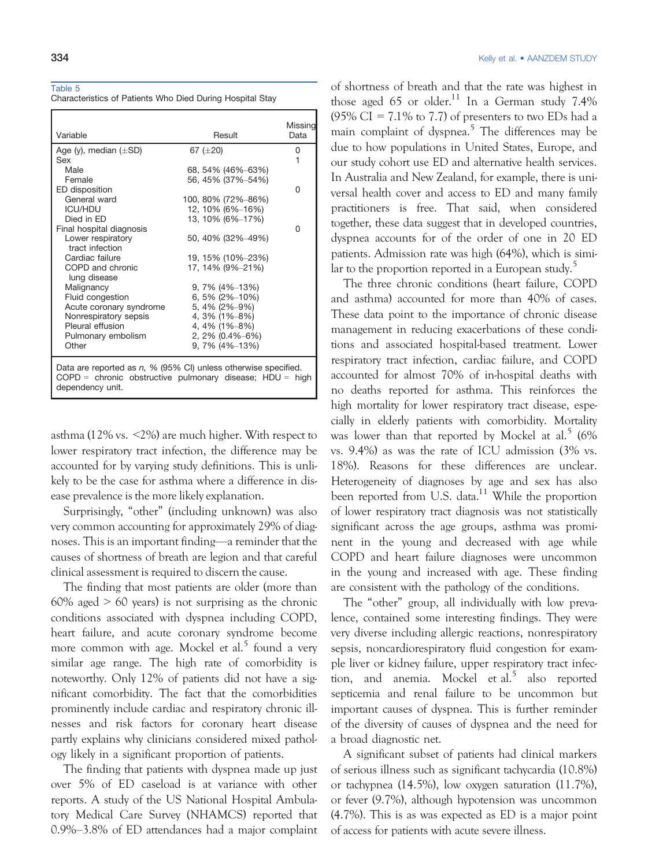#### Table 5

Characteristics of Patients Who Died During Hospital Stay

|                                                                                                                                                     |                    | Missing |
|-----------------------------------------------------------------------------------------------------------------------------------------------------|--------------------|---------|
| Variable                                                                                                                                            | Result             | Data    |
| Age (y), median $(\pm SD)$                                                                                                                          | 67 $(\pm 20)$      | 0       |
| Sex                                                                                                                                                 |                    | 1       |
| Male                                                                                                                                                | 68, 54% (46%–63%)  |         |
| Female                                                                                                                                              | 56, 45% (37%-54%)  |         |
| ED disposition                                                                                                                                      |                    | O       |
| General ward                                                                                                                                        | 100, 80% (72%–86%) |         |
| <b>ICU/HDU</b>                                                                                                                                      | 12, 10% (6%-16%)   |         |
| Died in FD                                                                                                                                          | 13, 10% (6%-17%)   |         |
| Final hospital diagnosis                                                                                                                            |                    | O       |
| Lower respiratory                                                                                                                                   | 50, 40% (32%–49%)  |         |
| tract infection                                                                                                                                     |                    |         |
| Cardiac failure                                                                                                                                     | 19, 15% (10%-23%)  |         |
| COPD and chronic                                                                                                                                    | 17, 14% (9%–21%)   |         |
| lung disease                                                                                                                                        |                    |         |
| Malignancy                                                                                                                                          | 9, 7% (4%-13%)     |         |
| Fluid congestion                                                                                                                                    | 6, 5% (2%-10%)     |         |
| Acute coronary syndrome                                                                                                                             | 5, 4% (2%-9%)      |         |
| Nonrespiratory sepsis                                                                                                                               | 4, $3\%$ (1%–8%)   |         |
| Pleural effusion                                                                                                                                    | 4, 4% (1%–8%)      |         |
| Pulmonary embolism                                                                                                                                  | $2,2\%$ (0.4%-6%)  |         |
| Other                                                                                                                                               | $9,7\%$ (4%-13%)   |         |
| Data are reported as $n$ , % (95% CI) unless otherwise specified.<br>$COPD =$ chronic obstructive pulmonary disease; HDU = high<br>dependency unit. |                    |         |

asthma (12% vs. <2%) are much higher. With respect to lower respiratory tract infection, the difference may be accounted for by varying study definitions. This is unlikely to be the case for asthma where a difference in disease prevalence is the more likely explanation.

Surprisingly, "other" (including unknown) was also very common accounting for approximately 29% of diagnoses. This is an important finding—a reminder that the causes of shortness of breath are legion and that careful clinical assessment is required to discern the cause.

The finding that most patients are older (more than  $60\%$  aged  $> 60$  years) is not surprising as the chronic conditions associated with dyspnea including COPD, heart failure, and acute coronary syndrome become more common with age. Mockel et al.<sup>5</sup> found a very similar age range. The high rate of comorbidity is noteworthy. Only 12% of patients did not have a significant comorbidity. The fact that the comorbidities prominently include cardiac and respiratory chronic illnesses and risk factors for coronary heart disease partly explains why clinicians considered mixed pathology likely in a significant proportion of patients.

The finding that patients with dyspnea made up just over 5% of ED caseload is at variance with other reports. A study of the US National Hospital Ambulatory Medical Care Survey (NHAMCS) reported that 0.9%–3.8% of ED attendances had a major complaint

of shortness of breath and that the rate was highest in those aged 65 or older.<sup>11</sup> In a German study 7.4% (95% CI =  $7.1\%$  to 7.7) of presenters to two EDs had a main complaint of dyspnea.<sup>5</sup> The differences may be due to how populations in United States, Europe, and our study cohort use ED and alternative health services. In Australia and New Zealand, for example, there is universal health cover and access to ED and many family practitioners is free. That said, when considered together, these data suggest that in developed countries, dyspnea accounts for of the order of one in 20 ED patients. Admission rate was high (64%), which is similar to the proportion reported in a European study.<sup>5</sup>

The three chronic conditions (heart failure, COPD and asthma) accounted for more than 40% of cases. These data point to the importance of chronic disease management in reducing exacerbations of these conditions and associated hospital-based treatment. Lower respiratory tract infection, cardiac failure, and COPD accounted for almost 70% of in-hospital deaths with no deaths reported for asthma. This reinforces the high mortality for lower respiratory tract disease, especially in elderly patients with comorbidity. Mortality was lower than that reported by Mockel at al.<sup>5</sup> (6%) vs. 9.4%) as was the rate of ICU admission (3% vs. 18%). Reasons for these differences are unclear. Heterogeneity of diagnoses by age and sex has also been reported from U.S. data.<sup>11</sup> While the proportion of lower respiratory tract diagnosis was not statistically significant across the age groups, asthma was prominent in the young and decreased with age while COPD and heart failure diagnoses were uncommon in the young and increased with age. These finding are consistent with the pathology of the conditions.

The "other" group, all individually with low prevalence, contained some interesting findings. They were very diverse including allergic reactions, nonrespiratory sepsis, noncardiorespiratory fluid congestion for example liver or kidney failure, upper respiratory tract infection, and anemia. Mockel et al.<sup>5</sup> also reported septicemia and renal failure to be uncommon but important causes of dyspnea. This is further reminder of the diversity of causes of dyspnea and the need for a broad diagnostic net.

A significant subset of patients had clinical markers of serious illness such as significant tachycardia (10.8%) or tachypnea (14.5%), low oxygen saturation (11.7%), or fever (9.7%), although hypotension was uncommon (4.7%). This is as was expected as ED is a major point of access for patients with acute severe illness.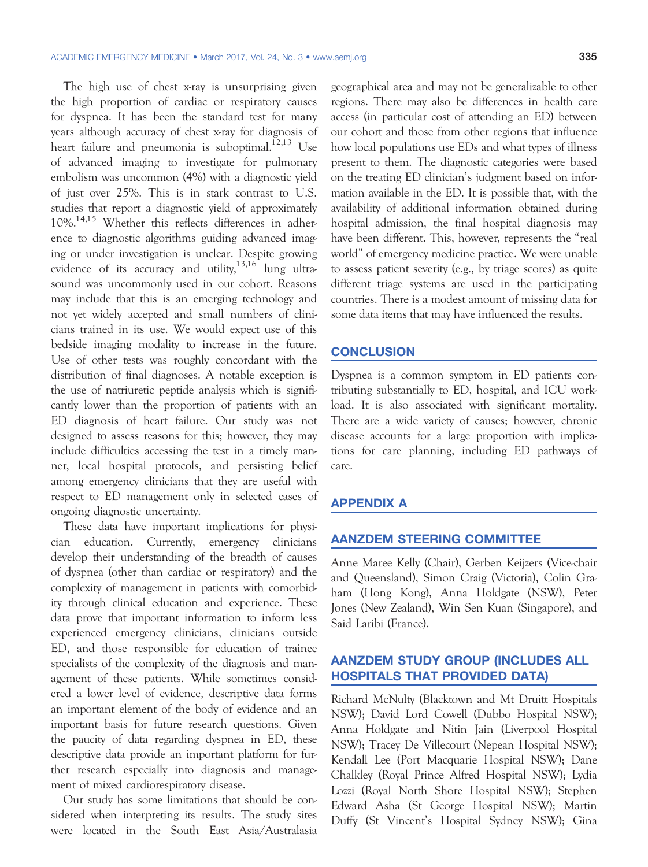The high use of chest x-ray is unsurprising given the high proportion of cardiac or respiratory causes for dyspnea. It has been the standard test for many years although accuracy of chest x-ray for diagnosis of heart failure and pneumonia is suboptimal.<sup>12,13</sup> Use of advanced imaging to investigate for pulmonary embolism was uncommon (4%) with a diagnostic yield of just over 25%. This is in stark contrast to U.S. studies that report a diagnostic yield of approximately 10%.14,15 Whether this reflects differences in adherence to diagnostic algorithms guiding advanced imaging or under investigation is unclear. Despite growing evidence of its accuracy and utility, $13,16$  lung ultrasound was uncommonly used in our cohort. Reasons may include that this is an emerging technology and not yet widely accepted and small numbers of clinicians trained in its use. We would expect use of this bedside imaging modality to increase in the future. Use of other tests was roughly concordant with the distribution of final diagnoses. A notable exception is the use of natriuretic peptide analysis which is significantly lower than the proportion of patients with an ED diagnosis of heart failure. Our study was not designed to assess reasons for this; however, they may include difficulties accessing the test in a timely manner, local hospital protocols, and persisting belief among emergency clinicians that they are useful with respect to ED management only in selected cases of ongoing diagnostic uncertainty.

These data have important implications for physician education. Currently, emergency clinicians develop their understanding of the breadth of causes of dyspnea (other than cardiac or respiratory) and the complexity of management in patients with comorbidity through clinical education and experience. These data prove that important information to inform less experienced emergency clinicians, clinicians outside ED, and those responsible for education of trainee specialists of the complexity of the diagnosis and management of these patients. While sometimes considered a lower level of evidence, descriptive data forms an important element of the body of evidence and an important basis for future research questions. Given the paucity of data regarding dyspnea in ED, these descriptive data provide an important platform for further research especially into diagnosis and management of mixed cardiorespiratory disease.

Our study has some limitations that should be considered when interpreting its results. The study sites were located in the South East Asia/Australasia geographical area and may not be generalizable to other regions. There may also be differences in health care access (in particular cost of attending an ED) between our cohort and those from other regions that influence how local populations use EDs and what types of illness present to them. The diagnostic categories were based on the treating ED clinician's judgment based on information available in the ED. It is possible that, with the availability of additional information obtained during hospital admission, the final hospital diagnosis may have been different. This, however, represents the "real world" of emergency medicine practice. We were unable to assess patient severity (e.g., by triage scores) as quite different triage systems are used in the participating countries. There is a modest amount of missing data for some data items that may have influenced the results.

# **CONCLUSION**

Dyspnea is a common symptom in ED patients contributing substantially to ED, hospital, and ICU workload. It is also associated with significant mortality. There are a wide variety of causes; however, chronic disease accounts for a large proportion with implications for care planning, including ED pathways of care.

# APPENDIX A

# AANZDEM STEERING COMMITTEE

Anne Maree Kelly (Chair), Gerben Keijzers (Vice-chair and Queensland), Simon Craig (Victoria), Colin Graham (Hong Kong), Anna Holdgate (NSW), Peter Jones (New Zealand), Win Sen Kuan (Singapore), and Said Laribi (France).

# AANZDEM STUDY GROUP (INCLUDES ALL HOSPITALS THAT PROVIDED DATA)

Richard McNulty (Blacktown and Mt Druitt Hospitals NSW); David Lord Cowell (Dubbo Hospital NSW); Anna Holdgate and Nitin Jain (Liverpool Hospital NSW); Tracey De Villecourt (Nepean Hospital NSW); Kendall Lee (Port Macquarie Hospital NSW); Dane Chalkley (Royal Prince Alfred Hospital NSW); Lydia Lozzi (Royal North Shore Hospital NSW); Stephen Edward Asha (St George Hospital NSW); Martin Duffy (St Vincent's Hospital Sydney NSW); Gina